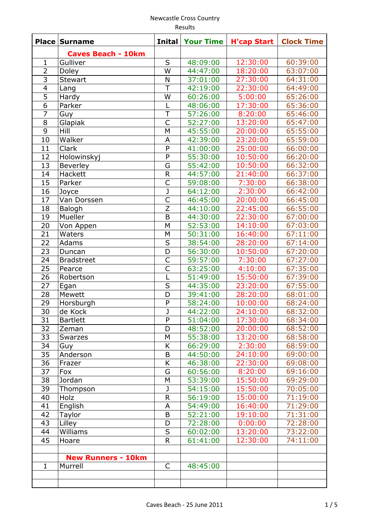| <b>Place</b>    | <b>Surname</b>            | <b>Inital</b>           | <b>Your Time</b>     | <b>H'cap Start</b> | <b>Clock Time</b> |
|-----------------|---------------------------|-------------------------|----------------------|--------------------|-------------------|
|                 | <b>Caves Beach - 10km</b> |                         |                      |                    |                   |
| $\mathbf 1$     | Gulliver                  | S                       | 48:09:00             | 12:30:00           | 60:39:00          |
| $\overline{2}$  | Doley                     | W                       | 44:47:00             | 18:20:00           | 63:07:00          |
| $\overline{3}$  | <b>Stewart</b>            | N                       | 37:01:00             | 27:30:00           | 64:31:00          |
| $\overline{4}$  | Lang                      | $\overline{T}$          | 42:19:00             | 22:30:00           | 64:49:00          |
| $\overline{5}$  | Hardy                     | W                       | 60:26:00             | 5:00:00            | 65:26:00          |
| 6               | Parker                    | L                       | 48:06:00             | 17:30:00           | 65:36:00          |
| $\overline{7}$  | Guy                       | $\overline{T}$          | 57:26:00             | 8:20:00            | 65:46:00          |
| 8               | Glapiak                   | $\mathsf{C}$            | 52:27:00             | 13:20:00           | 65:47:00          |
| $\overline{9}$  | Hill                      | M                       | 45:55:00             | 20:00:00           | 65:55:00          |
| 10              | Walker                    | A                       | 42:39:00             | 23:20:00           | 65:59:00          |
| 11              | Clark                     | P                       | 41:00:00             | 25:00:00           | 66:00:00          |
| 12              | Holowinskyj               | $\overline{P}$          | 55:30:00             | 10:50:00           | 66:20:00          |
| 13              | Beverley                  | G                       | 55:42:00             | 10:50:00           | 66:32:00          |
| 14              | Hackett                   | $\mathsf{R}$            | 44:57:00             | 21:40:00           | 66:37:00          |
| 15              | Parker                    | $\overline{C}$          | 59:08:00             | 7:30:00            | 66:38:00          |
| 16              | Joyce                     | $\mathsf{J}$            | 64:12:00             | 2:30:00            | 66:42:00          |
| 17              | Van Dorssen               | $\overline{\mathsf{C}}$ | 46:45:00             | 20:00:00           | 66:45:00          |
| 18              | Balogh                    | $\overline{z}$          | 44:10:00             | 22:45:00           | 66:55:00          |
| 19              | Mueller                   | B                       | 44:30:00             | 22:30:00           | 67:00:00          |
| 20              | Von Appen                 | M                       | 52:53:00             | 14:10:00           | 67:03:00          |
| 21              | Waters                    | M                       | 50:31:00             | 16:40:00           | 67:11:00          |
| 22              | Adams                     | $\overline{S}$          | 38:54:00             | 28:20:00           | 67:14:00          |
| 23              | Duncan                    | D                       | 56:30:00             | 10:50:00           | 67:20:00          |
| 24              | <b>Bradstreet</b>         | $\mathsf{C}$            | 59:57:00             | 7:30:00            | 67:27:00          |
| 25              | Pearce                    | $\overline{\mathsf{C}}$ | 63:25:00             | 4:10:00            | 67:35:00          |
| 26              | Robertson                 | L                       | 51:49:00             | 15:50:00           | 67:39:00          |
| $\overline{27}$ | Egan                      | S                       | 44:35:00             | 23:20:00           | 67:55:00          |
| 28              | Mewett                    | D                       | 39:41:00             | 28:20:00           | 68:01:00          |
| 29              | Horsburgh                 | $\mathsf{P}$            | 58:24:00             | 10:00:00           | 68:24:00          |
| 30              | de Kock                   | $\overline{\mathsf{J}}$ | 44:22:00             | 24:10:00           | 68:32:00          |
| 31              | <b>Bartlett</b>           | P                       | 51:04:00             | 17:30:00           | 68:34:00          |
| 32              | Zeman                     | D                       | 48:52:00             | 20:00:00           | 68:52:00          |
| 33              |                           | M                       | 55:38:00             | 13:20:00           | 68:58:00          |
| 34              | Swarzes                   | K                       | 66:29:00             | 2:30:00            | 68:59:00          |
| 35              | Guy<br>Anderson           | B                       | 44:50:00             | 24:10:00           | 69:00:00          |
| 36              |                           | K                       | 46:38:00             | 22:30:00           | 69:08:00          |
| 37              | Frazer                    | G                       | 60:56:00             | 8:20:00            | 69:16:00          |
| 38              | Fox<br>Jordan             | M                       | 53:39:00             | 15:50:00           | 69:29:00          |
| 39              |                           | J                       | 54:15:00             | 15:50:00           | 70:05:00          |
|                 | Thompson                  |                         |                      | 15:00:00           |                   |
| 40<br>41        | Holz                      | R                       | 56:19:00<br>54:49:00 | 16:40:00           | 71:19:00          |
| 42              | English                   | A<br>B                  |                      |                    | 71:29:00          |
|                 | Taylor                    |                         | 52:21:00             | 19:10:00           | 71:31:00          |
| 43              | Lilley                    | D                       | 72:28:00             | 0:00:00            | 72:28:00          |
| 44              | Williams                  | S                       | 60:02:00             | 13:20:00           | 73:22:00          |
| 45              | Hoare                     | R                       | 61:41:00             | 12:30:00           | 74:11:00          |
|                 |                           |                         |                      |                    |                   |
| $\mathbf{1}$    | <b>New Runners - 10km</b> |                         |                      |                    |                   |
|                 | Murrell                   | C                       | 48:45:00             |                    |                   |
|                 |                           |                         |                      |                    |                   |
|                 |                           |                         |                      |                    |                   |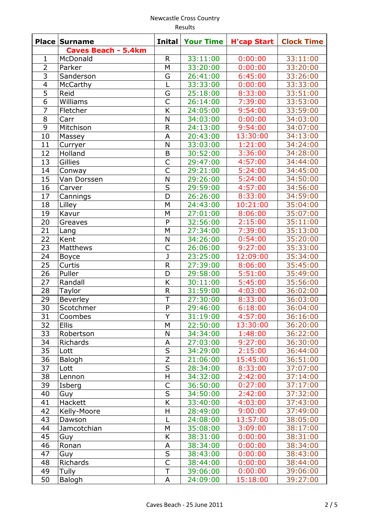|                 | Results                    |                         |                  |                    |                   |  |  |
|-----------------|----------------------------|-------------------------|------------------|--------------------|-------------------|--|--|
| <b>Place</b>    | <b>Surname</b>             | <b>Inital</b>           | <b>Your Time</b> | <b>H'cap Start</b> | <b>Clock Time</b> |  |  |
|                 | <b>Caves Beach - 5.4km</b> |                         |                  |                    |                   |  |  |
| $\mathbf{1}$    | McDonald                   | $\mathsf{R}$            | 33:11:00         | 0:00:00            | 33:11:00          |  |  |
| $\overline{2}$  | Parker                     | M                       | 33:20:00         | 0:00:00            | 33:20:00          |  |  |
| $\overline{3}$  | Sanderson                  | G                       | 26:41:00         | 6:45:00            | 33:26:00          |  |  |
| $\frac{4}{5}$   | McCarthy                   | L                       | 33:33:00         | 0:00:00            | 33:33:00          |  |  |
|                 | Reid                       | G                       | 25:18:00         | 8:33:00            | 33:51:00          |  |  |
| $\overline{6}$  | Williams                   | $\mathsf{C}$            | 26:14:00         | 7:39:00            | 33:53:00          |  |  |
| $\overline{7}$  | Fletcher                   | $\overline{\mathsf{K}}$ | 24:05:00         | 9:54:00            | 33:59:00          |  |  |
| 8               | Carr                       | N                       | 34:03:00         | 0:00:00            | 34:03:00          |  |  |
| 9               | Mitchison                  | $\mathsf{R}$            | 24:13:00         | 9:54:00            | 34:07:00          |  |  |
| 10              | Massey                     | A                       | 20:43:00         | 13:30:00           | 34:13:00          |  |  |
| 11              | Curryer                    | N                       | 33:03:00         | 1:21:00            | 34:24:00          |  |  |
| 12              | Holland                    | B                       | 30:52:00         | 3:36:00            | 34:28:00          |  |  |
| 13              | Gillies                    | $\overline{C}$          | 29:47:00         | 4:57:00            | 34:44:00          |  |  |
| 14              | Conway                     | $\mathsf{C}$            | 29:21:00         | 5:24:00            | 34:45:00          |  |  |
| 15              | Van Dorssen                | N                       | 29:26:00         | 5:24:00            | 34:50:00          |  |  |
| 16              | Carver                     | S                       | 29:59:00         | 4:57:00            | 34:56:00          |  |  |
| 17              |                            | $\overline{D}$          | 26:26:00         | 8:33:00            | 34:59:00          |  |  |
| 18              | Cannings                   | M                       | 24:43:00         | 10:21:00           | 35:04:00          |  |  |
| 19              | Lilley                     |                         |                  |                    | 35:07:00          |  |  |
|                 | Kavur                      | M                       | 27:01:00         | 8:06:00            |                   |  |  |
| 20              | Greaves                    | P                       | 32:56:00         | 2:15:00            | 35:11:00          |  |  |
| 21              | Lang                       | M                       | 27:34:00         | 7:39:00            | 35:13:00          |  |  |
| 22              | Kent                       | N                       | 34:26:00         | 0:54:00            | 35:20:00          |  |  |
| $\overline{23}$ | <b>Matthews</b>            | $\overline{C}$          | 26:06:00         | 9:27:00            | 35:33:00          |  |  |
| 24              | <b>Boyce</b>               | J                       | 23:25:00         | 12:09:00           | 35:34:00          |  |  |
| 25              | Curtis                     | $\mathsf R$             | 27:39:00         | 8:06:00            | 35:45:00          |  |  |
| 26              | Puller                     | D                       | 29:58:00         | 5:51:00            | 35:49:00          |  |  |
| 27              | Randall                    | K                       | 30:11:00         | 5:45:00            | 35:56:00          |  |  |
| 28              | Taylor                     | ${\sf R}$               | 31:59:00         | 4:03:00            | 36:02:00          |  |  |
| 29              | Beverley                   | T                       | 27:30:00         | 8:33:00            | 36:03:00          |  |  |
| 30              | Scotchmer                  | P                       | 29:46:00         | 6:18:00            | 36:04:00          |  |  |
| 31              | Coombes                    | Υ                       | 31:19:00         | 4:57:00            | 36:16:00          |  |  |
| 32              | <b>Ellis</b>               | M                       | 22:50:00         | 13:30:00           | 36:20:00          |  |  |
| 33              | Robertson                  | N                       | 34:34:00         | 1:48:00            | 36:22:00          |  |  |
| 34              | Richards                   | Α                       | 27:03:00         | 9:27:00            | 36:30:00          |  |  |
| 35              | Lott                       | S                       | 34:29:00         | 2:15:00            | 36:44:00          |  |  |
| 36              | Balogh                     | Z                       | 21:06:00         | 15:45:00           | 36:51:00          |  |  |
| 37              | Lott                       | $\overline{S}$          | 28:34:00         | 8:33:00            | 37:07:00          |  |  |
| 38              | Lennon                     | $\mathsf H$             | 34:32:00         | 2:42:00            | 37:14:00          |  |  |
| 39              | Isberg                     | C                       | 36:50:00         | 0:27:00            | 37:17:00          |  |  |
| 40              | Guy                        | $\mathsf S$             | 34:50:00         | 2:42:00            | 37:32:00          |  |  |
| 41              | Hackett                    | Κ                       | 33:40:00         | 4:03:00            | 37:43:00          |  |  |
| 42              | Kelly-Moore                | H                       | 28:49:00         | 9:00:00            | 37:49:00          |  |  |
| 43              | Dawson                     | L                       | 24:08:00         | 13:57:00           | 38:05:00          |  |  |
| 44              | Jamcotchian                | М                       | 35:08:00         | 3:09:00            | 38:17:00          |  |  |
| 45              | Guy                        | K                       | 38:31:00         | 0:00:00            | 38:31:00          |  |  |
| 46              | Ronan                      | A                       | 38:34:00         | 0:00:00            | 38:34:00          |  |  |
| 47              | Guy                        | $\sf S$                 | 38:43:00         | 0:00:00            | 38:43:00          |  |  |
| 48              | Richards                   | $\mathsf{C}$            | 38:44:00         | 0:00:00            | 38:44:00          |  |  |
| 49              | Tully                      | $\mathsf T$             | 39:06:00         | 0:00:00            | 39:06:00          |  |  |
| 50              |                            |                         |                  |                    |                   |  |  |
|                 | Balogh                     | A                       | 24:09:00         | 15:18:00           | 39:27:00          |  |  |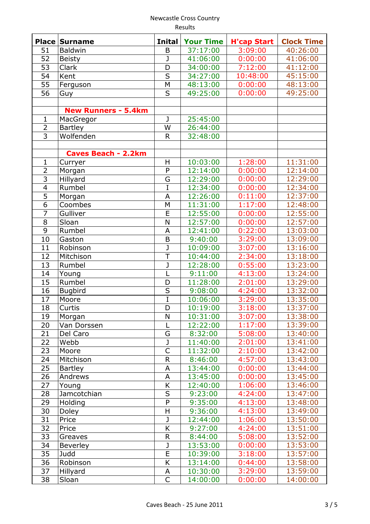Results

|                | <b>Place Surname</b>       | <b>Inital</b>           | <b>Your Time</b> | <b>H'cap Start</b> | <b>Clock Time</b> |
|----------------|----------------------------|-------------------------|------------------|--------------------|-------------------|
| 51             | <b>Baldwin</b>             | B                       | 37:17:00         | 3:09:00            | 40:26:00          |
| 52             | <b>Beisty</b>              | J                       | 41:06:00         | 0:00:00            | 41:06:00          |
| 53             | Clark                      | D                       | 34:00:00         | 7:12:00            | 41:12:00          |
| 54             | Kent                       | S                       | 34:27:00         | 10:48:00           | 45:15:00          |
| 55             | Ferguson                   | M                       | 48:13:00         | 0:00:00            | 48:13:00          |
| 56             | Guy                        | S                       | 49:25:00         | 0:00:00            | 49:25:00          |
|                |                            |                         |                  |                    |                   |
|                | <b>New Runners - 5.4km</b> |                         |                  |                    |                   |
| $\mathbf{1}$   | MacGregor                  | J                       | 25:45:00         |                    |                   |
| $\overline{2}$ | <b>Bartley</b>             | W                       | 26:44:00         |                    |                   |
| $\overline{3}$ | Wolfenden                  | $\mathsf{R}$            | 32:48:00         |                    |                   |
|                |                            |                         |                  |                    |                   |
|                | <b>Caves Beach - 2.2km</b> |                         |                  |                    |                   |
| $\mathbf{1}$   | Curryer                    | H                       | 10:03:00         | 1:28:00            | 11:31:00          |
| $\overline{2}$ | Morgan                     | P                       | 12:14:00         | 0:00:00            | 12:14:00          |
| $\overline{3}$ | Hillyard                   | G                       | 12:29:00         | 0:00:00            | 12:29:00          |
| $\overline{4}$ | Rumbel                     | $\overline{I}$          | 12:34:00         | 0:00:00            | 12:34:00          |
| 5              | Morgan                     | A                       | 12:26:00         | 0:11:00            | 12:37:00          |
| $\overline{6}$ | Coombes                    | M                       | 11:31:00         | 1:17:00            | 12:48:00          |
| $\overline{7}$ | Gulliver                   | E                       | 12:55:00         | 0:00:00            | 12:55:00          |
| 8              | Sloan                      | N                       | 12:57:00         | 0:00:00            | 12:57:00          |
| $\overline{9}$ | Rumbel                     | A                       | 12:41:00         | 0:22:00            | 13:03:00          |
| 10             | Gaston                     | $\mathsf B$             | 9:40:00          | 3:29:00            | 13:09:00          |
| 11             | Robinson                   | $\overline{\mathsf{J}}$ | 10:09:00         | 3:07:00            | 13:16:00          |
| 12             | Mitchison                  | $\overline{\mathsf{T}}$ | 10:44:00         | 2:34:00            | 13:18:00          |
| 13             | Rumbel                     | J                       | 12:28:00         | 0:55:00            | 13:23:00          |
| 14             | Young                      | L                       | 9:11:00          | 4:13:00            | 13:24:00          |
| 15             | Rumbel                     | D                       | 11:28:00         | 2:01:00            | 13:29:00          |
| 16             | <b>Bugbird</b>             | $\overline{\mathsf{s}}$ | 9:08:00          | 4:24:00            | 13:32:00          |
| 17             | Moore                      | $\overline{I}$          | 10:06:00         | 3:29:00            | 13:35:00          |
| 18             | Curtis                     | D                       | 10:19:00         | 3:18:00            | 13:37:00          |
| 19             | Morgan                     | N                       | 10:31:00         | 3:07:00            | 13:38:00          |
| 20             | Van Dorssen                | L                       | 12:22:00         | 1:17:00            | 13:39:00          |
| 21             | Del Caro                   | G                       | 8:32:00          | 5:08:00            | 13:40:00          |
| 22             | Webb                       | J                       | 11:40:00         | 2:01:00            | 13:41:00          |
| 23             | Moore                      | $\overline{C}$          | 11:32:00         | 2:10:00            | 13:42:00          |
| 24             | Mitchison                  | $\mathsf{R}$            | 8:46:00          | 4:57:00            | 13:43:00          |
| 25             | <b>Bartley</b>             | A                       | 13:44:00         | 0:00:00            | 13:44:00          |
| 26             | Andrews                    | A                       | 13:45:00         | 0:00:00            | 13:45:00          |
| 27             | Young                      | K                       | 12:40:00         | 1:06:00            | 13:46:00          |
| 28             | <b>Jamcotchian</b>         | S                       | 9:23:00          | 4:24:00            | 13:47:00          |
| 29             | Holding                    | $\overline{P}$          | 9:35:00          | 4:13:00            | 13:48:00          |
| 30             | Doley                      | H                       | 9:36:00          | 4:13:00            | 13:49:00          |
| 31             | Price                      | J                       | 12:44:00         | 1:06:00            | 13:50:00          |
| 32             | Price                      | $\overline{\mathsf{K}}$ | 9:27:00          | 4:24:00            | 13:51:00          |
| 33             | Greaves                    | R                       | 8:44:00          | 5:08:00            | 13:52:00          |
| 34             | Beverley                   | J                       | 13:53:00         | 0:00:00            | 13:53:00          |
| 35             | Judd                       | E                       | 10:39:00         | 3:18:00            | 13:57:00          |
| 36             | Robinson                   | K                       | 13:14:00         | 0:44:00            | 13:58:00          |
| 37             | Hillyard                   | A                       | 10:30:00         | 3:29:00            | 13:59:00          |
| 38             | Sloan                      | C                       | 14:00:00         | 0:00:00            | 14:00:00          |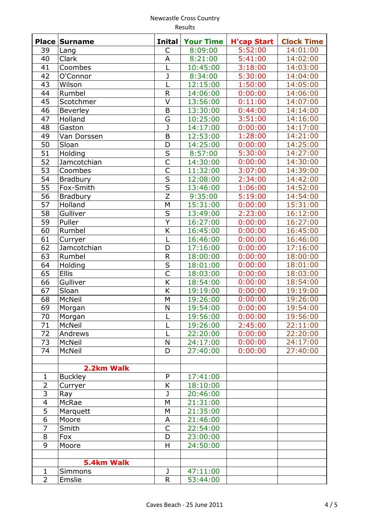|                          | <b>Place Surname</b> | <b>Inital</b>           | <b>Your Time</b> | <b>H'cap Start</b> | <b>Clock Time</b> |
|--------------------------|----------------------|-------------------------|------------------|--------------------|-------------------|
| 39                       | Lang                 | $\mathsf{C}$            | 8:09:00          | 5:52:00            | 14:01:00          |
| 40                       | Clark                | A                       | 8:21:00          | 5:41:00            | 14:02:00          |
| 41                       | Coombes              | L                       | 10:45:00         | 3:18:00            | 14:03:00          |
| 42                       | O'Connor             | J                       | 8:34:00          | 5:30:00            | 14:04:00          |
| 43                       | Wilson               | L                       | 12:15:00         | 1:50:00            | 14:05:00          |
| 44                       | Rumbel               | $\mathsf{R}$            | 14:06:00         | 0:00:00            | 14:06:00          |
| 45                       | Scotchmer            | $\vee$                  | 13:56:00         | 0:11:00            | 14:07:00          |
| 46                       | <b>Beverley</b>      | $\mathsf B$             | 13:30:00         | 0:44:00            | 14:14:00          |
| 47                       | Holland              | G                       | 10:25:00         | 3:51:00            | 14:16:00          |
| 48                       | Gaston               | $\mathsf{J}$            | 14:17:00         | 0:00:00            | 14:17:00          |
| 49                       | Van Dorssen          | B                       | 12:53:00         | 1:28:00            | 14:21:00          |
| 50                       | Sloan                | D                       | 14:25:00         | 0:00:00            | 14:25:00          |
| $\overline{51}$          | Holding              | $\overline{\mathsf{s}}$ | 8:57:00          | 5:30:00            | 14:27:00          |
| $\overline{52}$          | Jamcotchian          | $\overline{\mathsf{C}}$ | 14:30:00         | 0:00:00            | 14:30:00          |
| $\overline{53}$          | Coombes              | $\overline{\mathsf{C}}$ | 11:32:00         | 3:07:00            | 14:39:00          |
| $\overline{54}$          | <b>Bradbury</b>      | $\overline{\mathsf{s}}$ | 12:08:00         | 2:34:00            | 14:42:00          |
| 55                       | Fox-Smith            | $\overline{\mathsf{s}}$ | 13:46:00         | 1:06:00            | 14:52:00          |
| 56                       | <b>Bradbury</b>      | $\overline{Z}$          | 9:35:00          | 5:19:00            | 14:54:00          |
| 57                       | Holland              | M                       | 15:31:00         | 0:00:00            | 15:31:00          |
| 58                       | Gulliver             | $\sf S$                 | 13:49:00         | 2:23:00            | 16:12:00          |
| 59                       | Puller               | Y                       | 16:27:00         | 0:00:00            | 16:27:00          |
| 60                       | Rumbel               | K                       | 16:45:00         | 0:00:00            | 16:45:00          |
| 61                       | Curryer              | L                       | 16:46:00         | 0:00:00            | 16:46:00          |
| 62                       | Jamcotchian          | D                       | 17:16:00         | 0:00:00            | 17:16:00          |
| 63                       | Rumbel               | $\mathsf R$             | 18:00:00         | 0:00:00            | 18:00:00          |
| 64                       | Holding              | $\overline{\mathsf{s}}$ | 18:01:00         | 0:00:00            | 18:01:00          |
| 65                       | Ellis                | $\overline{\mathsf{C}}$ | 18:03:00         | 0:00:00            | 18:03:00          |
| 66                       | Gulliver             | $\overline{\mathsf{K}}$ | 18:54:00         | 0:00:00            | 18:54:00          |
| 67                       | Sloan                | $\overline{\mathsf{K}}$ | 19:19:00         | 0:00:00            | 19:19:00          |
| 68                       | <b>McNeil</b>        | M                       | 19:26:00         | 0:00:00            | 19:26:00          |
| 69                       | Morgan               | N                       | 19:54:00         | 0:00:00            | 19:54:00          |
| 70                       | Morgan               | L                       | 19:56:00         | 0:00:00            | 19:56:00          |
| 71                       | McNeil               |                         | 19:26:00         | 2:45:00            | 22:11:00          |
| 72                       | Andrews              | L                       | 22:20:00         | 0:00:00            | 22:20:00          |
| 73                       | <b>McNeil</b>        | N                       | 24:17:00         | 0:00:00            | 24:17:00          |
| 74                       | <b>McNeil</b>        | D                       | 27:40:00         | 0:00:00            | 27:40:00          |
|                          |                      |                         |                  |                    |                   |
|                          | 2.2km Walk           |                         |                  |                    |                   |
| $\mathbf{1}$             | <b>Buckley</b>       | $\mathsf{P}$            | 17:41:00         |                    |                   |
| $\overline{2}$           | Curryer              | K                       | 18:10:00         |                    |                   |
| $\overline{3}$           | Ray                  | J                       | 20:46:00         |                    |                   |
| $\overline{\mathcal{A}}$ | <b>McRae</b>         | M                       | 21:31:00         |                    |                   |
| 5                        | Marquett             | M                       | 21:35:00         |                    |                   |
| 6                        | Moore                | A                       | 21:46:00         |                    |                   |
| $\overline{7}$           | Smith                | $\mathsf{C}$            | 22:54:00         |                    |                   |
| 8                        | Fox                  | D                       | 23:00:00         |                    |                   |
| 9                        | Moore                | H                       | 24:50:00         |                    |                   |
|                          |                      |                         |                  |                    |                   |
|                          | 5.4km Walk           |                         |                  |                    |                   |
| $\mathbf 1$              | Simmons              | J                       | 47:11:00         |                    |                   |
| $\overline{2}$           | Emslie               | $\mathsf{R}$            | 53:44:00         |                    |                   |